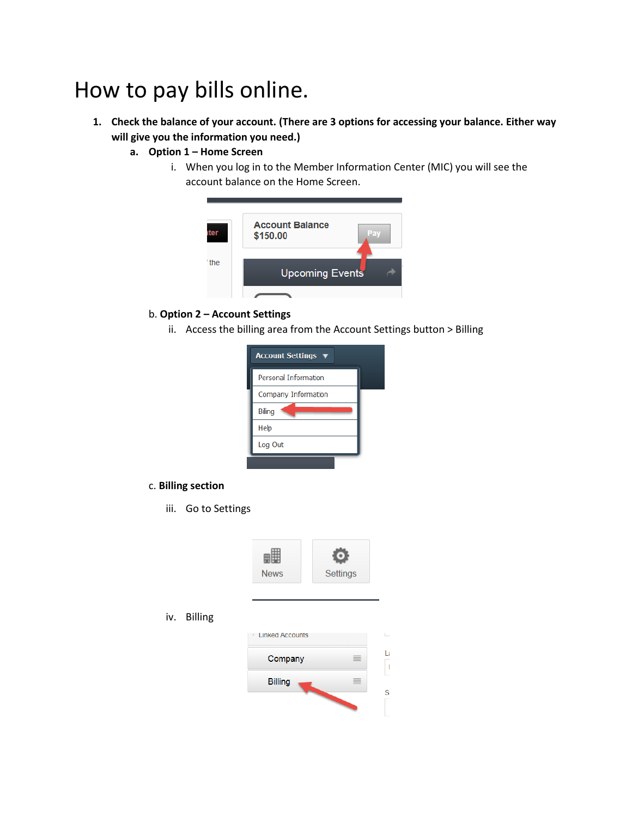### How to pay bills online.

- **1. Check the balance of your account. (There are 3 options for accessing your balance. Either way will give you the information you need.)**
	- **a. Option 1 – Home Screen**
		- i. When you log in to the Member Information Center (MIC) you will see the account balance on the Home Screen.



#### b. **Option 2 – Account Settings**

ii. Access the billing area from the Account Settings button > Billing

| <b>Account Settings ▼</b>   |
|-----------------------------|
| <b>Personal Information</b> |
| Company Information         |
| Billing                     |
| Help                        |
| Log Out                     |

#### c. **Billing section**

iii. Go to Settings



iv. Billing

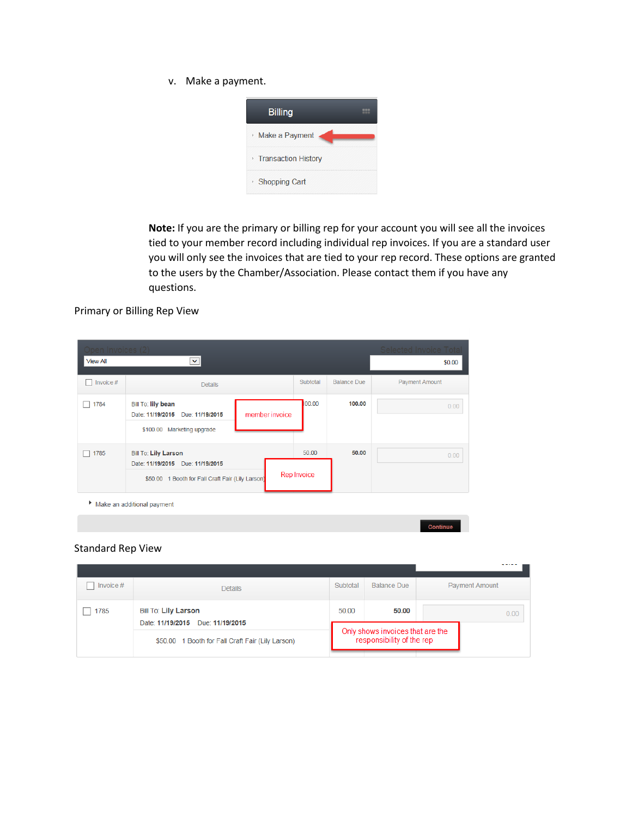v. Make a payment.



**Note:** If you are the primary or billing rep for your account you will see all the invoices tied to your member record including individual rep invoices. If you are a standard user you will only see the invoices that are tied to your rep record. These options are granted to the users by the Chamber/Association. Please contact them if you have any questions.

Primary or Billing Rep View

| Dpen Invoices (2)<br><b>View All</b>  | $\checkmark$                                                                                              |             |                    | Selected Invoice Tota<br>\$0.00 |
|---------------------------------------|-----------------------------------------------------------------------------------------------------------|-------------|--------------------|---------------------------------|
| Invoice #<br>$\overline{\phantom{a}}$ | <b>Details</b>                                                                                            | Subtotal    | <b>Balance Due</b> | <b>Payment Amount</b>           |
| 1784<br>$\Box$                        | Bill To: lily bean<br>member invoice<br>Date: 11/19/2015<br>Due: 11/19/2015<br>\$100.00 Marketing upgrade | 00.00       | 100.00             | 0.00                            |
| 1785                                  | <b>Bill To: Lily Larson</b><br>Date: 11/19/2015 Due: 11/19/2015                                           | 50.00       | 50.00              | 0.00                            |
|                                       | \$50.00 1 Booth for Fall Craft Fair (Lily Larson)                                                         | Rep Invoice |                    |                                 |
|                                       | Make an additional payment                                                                                |             |                    | <b>Continue</b>                 |
| <b>Standard Rep View</b>              |                                                                                                           |             |                    |                                 |

| Invoice # | <b>Details</b>                                                     | Subtotal | Balance Due                                                   | <b>Payment Amount</b> |
|-----------|--------------------------------------------------------------------|----------|---------------------------------------------------------------|-----------------------|
| 1785      | <b>Bill To: Lily Larson</b><br>Date: 11/19/2015<br>Due: 11/19/2015 | 50.00    | 50.00                                                         | 0.00                  |
|           | \$50.00 1 Booth for Fall Craft Fair (Lily Larson)                  |          | Only shows invoices that are the<br>responsibility of the rep |                       |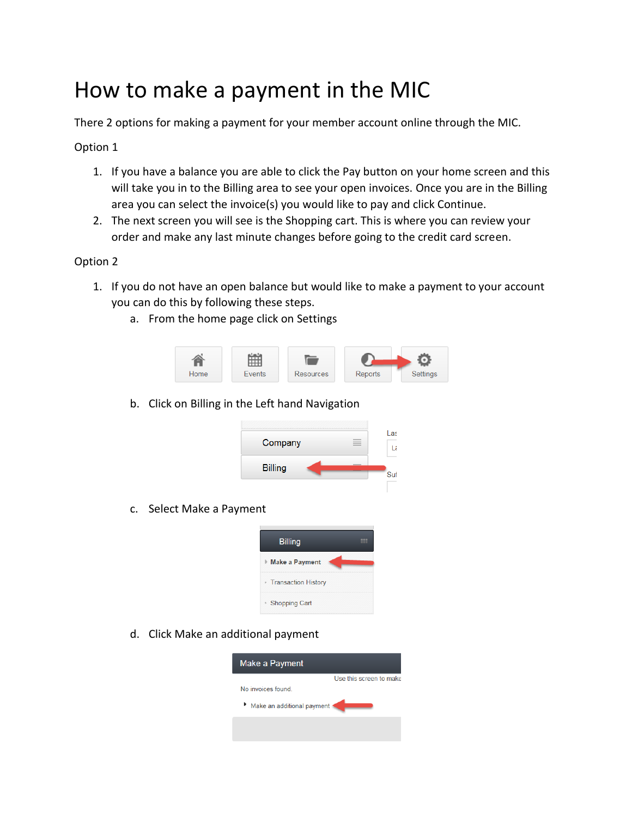## How to make a payment in the MIC

There 2 options for making a payment for your member account online through the MIC.

Option 1

- 1. If you have a balance you are able to click the Pay button on your home screen and this will take you in to the Billing area to see your open invoices. Once you are in the Billing area you can select the invoice(s) you would like to pay and click Continue.
- 2. The next screen you will see is the Shopping cart. This is where you can review your order and make any last minute changes before going to the credit card screen.

Option 2

- 1. If you do not have an open balance but would like to make a payment to your account you can do this by following these steps.
	- a. From the home page click on Settings



b. Click on Billing in the Left hand Navigation



c. Select Make a Payment



d. Click Make an additional payment

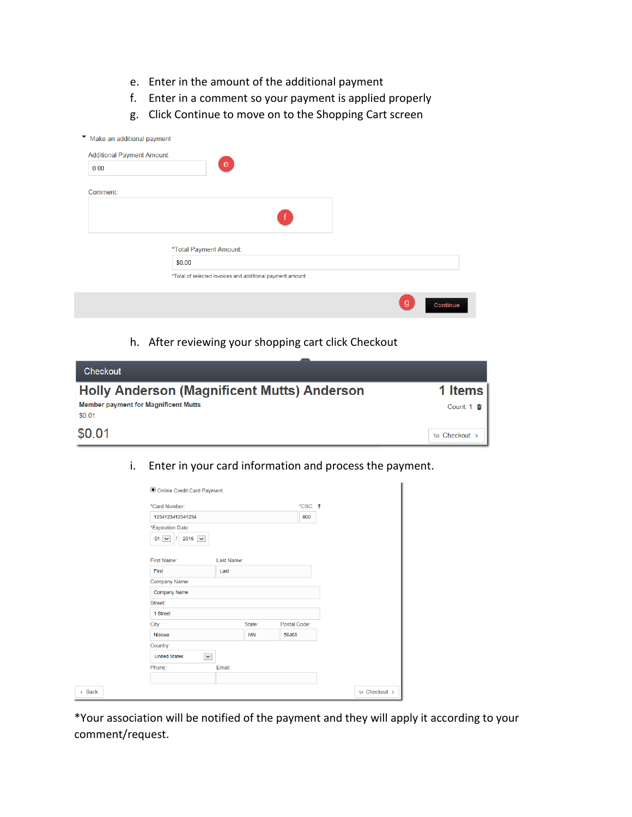- e. Enter in the amount of the additional payment
- f. Enter in a comment so your payment is applied properly
- g. Click Continue to move on to the Shopping Cart screen

| Make an additional payment<br><b>Additional Payment Amount:</b> |                                                            |
|-----------------------------------------------------------------|------------------------------------------------------------|
| 0.00                                                            | $\mathbf{e}$                                               |
| Comment:                                                        |                                                            |
|                                                                 |                                                            |
|                                                                 | *Total Payment Amount:                                     |
|                                                                 | \$0.00                                                     |
|                                                                 | *Total of selected invoices and additional payment amount. |
|                                                                 | $\mathsf{g}$<br><b>Continue</b>                            |

h. After reviewing your shopping cart click Checkout

| Checkout                                              |                   |
|-------------------------------------------------------|-------------------|
| <b>Holly Anderson (Magnificent Mutts) Anderson</b>    | 1 Items           |
| <b>Member payment for Magnificent Mutts</b><br>\$0.01 | Count: 1 亩 I      |
| \$0.01                                                | <b>■ Checkout</b> |

i. Enter in your card information and process the payment.

| Online Credit Card Payment.                       |            |           |              |              |
|---------------------------------------------------|------------|-----------|--------------|--------------|
| *Card Number:                                     |            |           | *CSC: ?      |              |
| 1234123412341234                                  | 000        |           |              |              |
| *Expiration Date:<br>$01$ $\vee$<br>$2016$ $\vee$ |            |           |              |              |
| First Name:                                       | Last Name: |           |              |              |
| First                                             | Last       |           |              |              |
| Company Name:                                     |            |           |              |              |
| Company Name                                      |            |           |              |              |
| Street:                                           |            |           |              |              |
| 1 Street                                          |            |           |              |              |
| City:                                             |            | State:    | Postal Code: |              |
| <b>Nisswa</b>                                     |            | <b>MN</b> | 56468        |              |
| Country:                                          |            |           |              |              |
| <b>United States</b><br>$\blacktriangledown$      |            |           |              |              |
| Phone:                                            | Email:     |           |              |              |
|                                                   |            |           |              |              |
| « Back                                            |            |           |              | ₩ Checkout > |

\*Your association will be notified of the payment and they will apply it according to your comment/request.